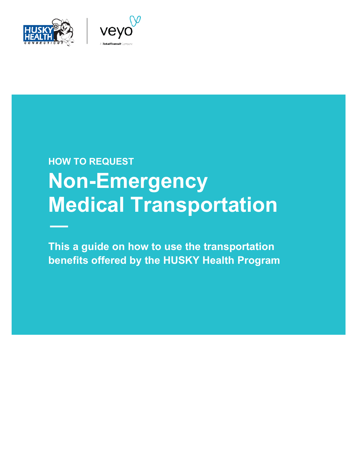



# **HOW TO REQUEST Non-Emergency Medical Transportation**

**This a guide on how to use the transportation benefits offered by the HUSKY Health Program**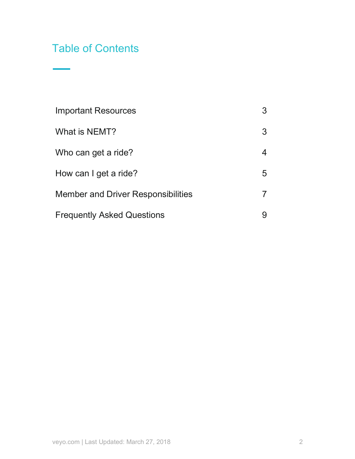# Table of Contents

| <b>Important Resources</b>                | 3  |
|-------------------------------------------|----|
| What is NEMT?                             | 3  |
| Who can get a ride?                       | 4  |
| How can I get a ride?                     | 5. |
| <b>Member and Driver Responsibilities</b> |    |
| <b>Frequently Asked Questions</b>         |    |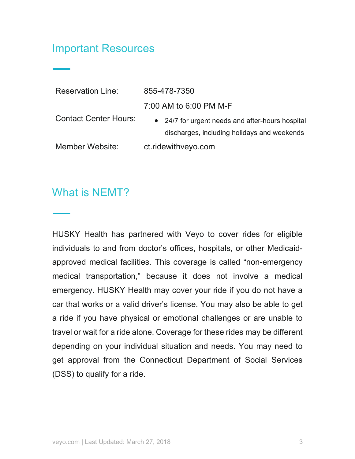# Important Resources

| <b>Reservation Line:</b>     | 855-478-7350                                     |  |  |
|------------------------------|--------------------------------------------------|--|--|
|                              | 7:00 AM to 6:00 PM M-F                           |  |  |
| <b>Contact Center Hours:</b> | • 24/7 for urgent needs and after-hours hospital |  |  |
|                              | discharges, including holidays and weekends      |  |  |
| Member Website:              | ct.ridewithveyo.com                              |  |  |

# What is NEMT?

HUSKY Health has partnered with Veyo to cover rides for eligible individuals to and from doctor's offices, hospitals, or other Medicaidapproved medical facilities. This coverage is called "non-emergency medical transportation," because it does not involve a medical emergency. HUSKY Health may cover your ride if you do not have a car that works or a valid driver's license. You may also be able to get a ride if you have physical or emotional challenges or are unable to travel or wait for a ride alone. Coverage for these rides may be different depending on your individual situation and needs. You may need to get approval from the Connecticut Department of Social Services (DSS) to qualify for a ride.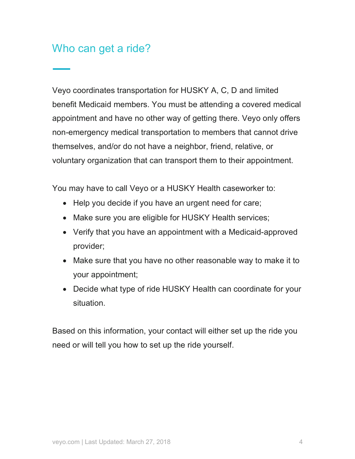# Who can get a ride?

Veyo coordinates transportation for HUSKY A, C, D and limited benefit Medicaid members. You must be attending a covered medical appointment and have no other way of getting there. Veyo only offers non-emergency medical transportation to members that cannot drive themselves, and/or do not have a neighbor, friend, relative, or voluntary organization that can transport them to their appointment.

You may have to call Veyo or a HUSKY Health caseworker to:

- Help you decide if you have an urgent need for care;
- Make sure you are eligible for HUSKY Health services;
- Verify that you have an appointment with a Medicaid-approved provider;
- Make sure that you have no other reasonable way to make it to your appointment;
- Decide what type of ride HUSKY Health can coordinate for your situation.

Based on this information, your contact will either set up the ride you need or will tell you how to set up the ride yourself.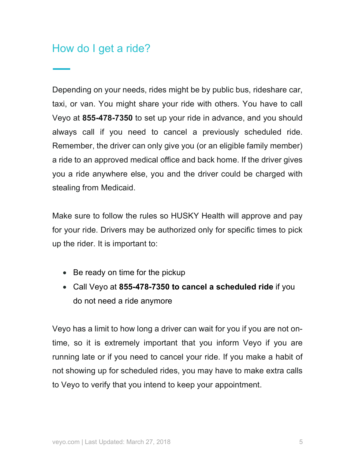# How do I get a ride?

Depending on your needs, rides might be by public bus, rideshare car, taxi, or van. You might share your ride with others. You have to call Veyo at **855-478-7350** to set up your ride in advance, and you should always call if you need to cancel a previously scheduled ride. Remember, the driver can only give you (or an eligible family member) a ride to an approved medical office and back home. If the driver gives you a ride anywhere else, you and the driver could be charged with stealing from Medicaid.

Make sure to follow the rules so HUSKY Health will approve and pay for your ride. Drivers may be authorized only for specific times to pick up the rider. It is important to:

- Be ready on time for the pickup
- Call Veyo at **855-478-7350 to cancel a scheduled ride** if you do not need a ride anymore

Veyo has a limit to how long a driver can wait for you if you are not ontime, so it is extremely important that you inform Veyo if you are running late or if you need to cancel your ride. If you make a habit of not showing up for scheduled rides, you may have to make extra calls to Veyo to verify that you intend to keep your appointment.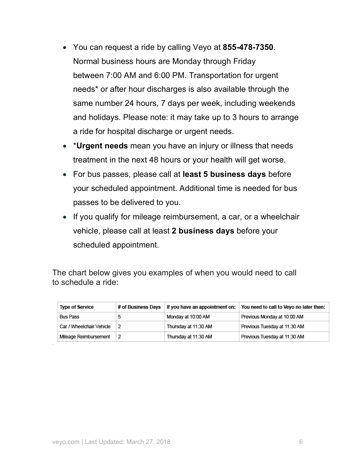- You can request a ride by calling Veyo at **855-478-7350**. Normal business hours are Monday through Friday between 7:00 AM and 6:00 PM. Transportation for urgent needs\* or after hour discharges is also available through the same number 24 hours, 7 days per week, including weekends and holidays. Please note: it may take up to 3 hours to arrange a ride for hospital discharge or urgent needs.
- \***Urgent needs** mean you have an injury or illness that needs treatment in the next 48 hours or your health will get worse.
- For bus passes, please call at **least 5 business days** before your scheduled appointment. Additional time is needed for bus passes to be delivered to you.
- If you qualify for mileage reimbursement, a car, or a wheelchair vehicle, please call at least **2 business days** before your scheduled appointment.

The chart below gives you examples of when you would need to call to schedule a ride:

| <b>Type of Service</b>   | # of Business Days | If you have an appointment on: | You need to call to Veyo no later then: |
|--------------------------|--------------------|--------------------------------|-----------------------------------------|
| Bus Pass                 |                    | Monday at 10:00 AM             | Previous Monday at 10:00 AM             |
| Car / Wheelchair Vehicle |                    | Thursday at 11:30 AM           | Previous Tuesday at 11:30 AM            |
| Mileage Reimbursement    |                    | Thursday at 11:30 AM           | Previous Tuesday at 11:30 AM            |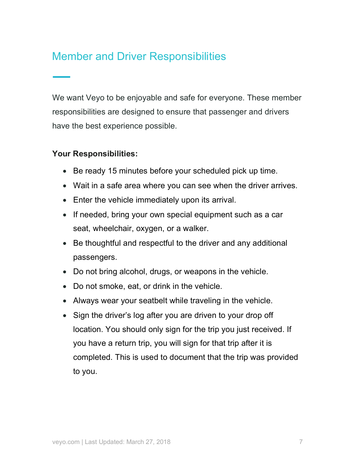# Member and Driver Responsibilities

We want Veyo to be enjoyable and safe for everyone. These member responsibilities are designed to ensure that passenger and drivers have the best experience possible.

#### **Your Responsibilities:**

- Be ready 15 minutes before your scheduled pick up time.
- Wait in a safe area where you can see when the driver arrives.
- Enter the vehicle immediately upon its arrival.
- If needed, bring your own special equipment such as a car seat, wheelchair, oxygen, or a walker.
- Be thoughtful and respectful to the driver and any additional passengers.
- Do not bring alcohol, drugs, or weapons in the vehicle.
- Do not smoke, eat, or drink in the vehicle.
- Always wear your seatbelt while traveling in the vehicle.
- Sign the driver's log after you are driven to your drop off location. You should only sign for the trip you just received. If you have a return trip, you will sign for that trip after it is completed. This is used to document that the trip was provided to you.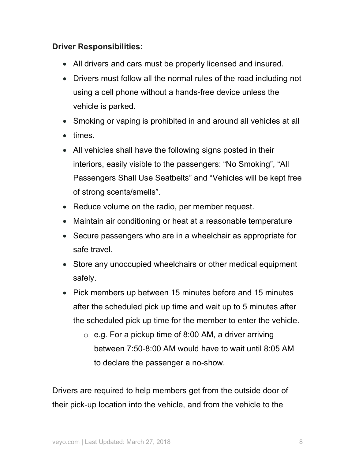#### **Driver Responsibilities:**

- All drivers and cars must be properly licensed and insured.
- Drivers must follow all the normal rules of the road including not using a cell phone without a hands-free device unless the vehicle is parked.
- Smoking or vaping is prohibited in and around all vehicles at all
- times.
- All vehicles shall have the following signs posted in their interiors, easily visible to the passengers: "No Smoking", "All Passengers Shall Use Seatbelts" and "Vehicles will be kept free of strong scents/smells".
- Reduce volume on the radio, per member request.
- Maintain air conditioning or heat at a reasonable temperature
- Secure passengers who are in a wheelchair as appropriate for safe travel.
- Store any unoccupied wheelchairs or other medical equipment safely.
- Pick members up between 15 minutes before and 15 minutes after the scheduled pick up time and wait up to 5 minutes after the scheduled pick up time for the member to enter the vehicle.
	- $\circ$  e.g. For a pickup time of 8:00 AM, a driver arriving between 7:50-8:00 AM would have to wait until 8:05 AM to declare the passenger a no-show.

Drivers are required to help members get from the outside door of their pick-up location into the vehicle, and from the vehicle to the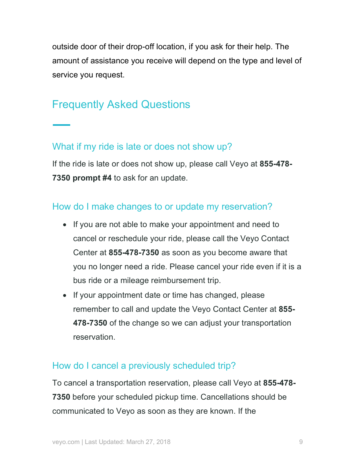outside door of their drop-off location, if you ask for their help. The amount of assistance you receive will depend on the type and level of service you request.

# Frequently Asked Questions

#### What if my ride is late or does not show up?

If the ride is late or does not show up, please call Veyo at **855-478- 7350 prompt #4** to ask for an update.

#### How do I make changes to or update my reservation?

- If you are not able to make your appointment and need to cancel or reschedule your ride, please call the Veyo Contact Center at **855-478-7350** as soon as you become aware that you no longer need a ride. Please cancel your ride even if it is a bus ride or a mileage reimbursement trip.
- If your appointment date or time has changed, please remember to call and update the Veyo Contact Center at **855- 478-7350** of the change so we can adjust your transportation reservation.

#### How do I cancel a previously scheduled trip?

To cancel a transportation reservation, please call Veyo at **855-478- 7350** before your scheduled pickup time. Cancellations should be communicated to Veyo as soon as they are known. If the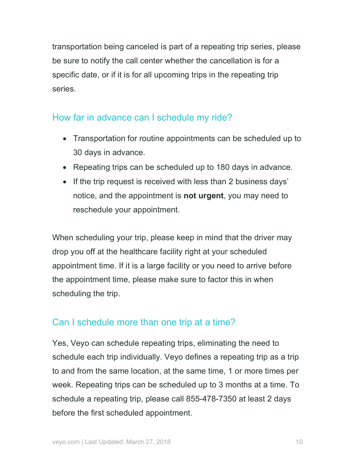transportation being canceled is part of a repeating trip series, please be sure to notify the call center whether the cancellation is for a specific date, or if it is for all upcoming trips in the repeating trip series.

#### How far in advance can I schedule my ride?

- Transportation for routine appointments can be scheduled up to 30 days in advance.
- Repeating trips can be scheduled up to 180 days in advance.
- If the trip request is received with less than 2 business days' notice, and the appointment is **not urgent**, you may need to reschedule your appointment.

When scheduling your trip, please keep in mind that the driver may drop you off at the healthcare facility right at your scheduled appointment time. If it is a large facility or you need to arrive before the appointment time, please make sure to factor this in when scheduling the trip.

## Can I schedule more than one trip at a time?

Yes, Veyo can schedule repeating trips, eliminating the need to schedule each trip individually. Veyo defines a repeating trip as a trip to and from the same location, at the same time, 1 or more times per week. Repeating trips can be scheduled up to 3 months at a time. To schedule a repeating trip, please call 855-478-7350 at least 2 days before the first scheduled appointment.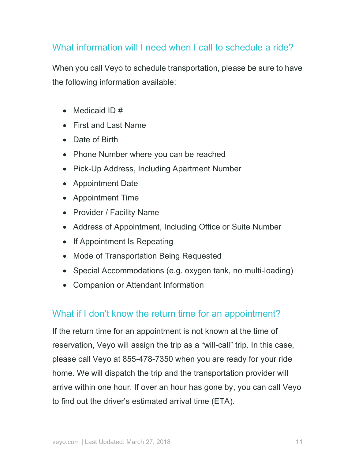## What information will I need when I call to schedule a ride?

When you call Veyo to schedule transportation, please be sure to have the following information available:

- Medicaid ID #
- First and Last Name
- Date of Birth
- Phone Number where you can be reached
- Pick-Up Address, Including Apartment Number
- Appointment Date
- Appointment Time
- Provider / Facility Name
- Address of Appointment, Including Office or Suite Number
- If Appointment Is Repeating
- Mode of Transportation Being Requested
- Special Accommodations (e.g. oxygen tank, no multi-loading)
- Companion or Attendant Information

## What if I don't know the return time for an appointment?

If the return time for an appointment is not known at the time of reservation, Veyo will assign the trip as a "will-call" trip. In this case, please call Veyo at 855-478-7350 when you are ready for your ride home. We will dispatch the trip and the transportation provider will arrive within one hour. If over an hour has gone by, you can call Veyo to find out the driver's estimated arrival time (ETA).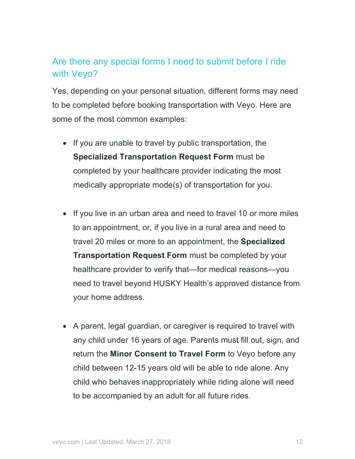## Are there any special forms I need to submit before I ride with Veyo?

Yes, depending on your personal situation, different forms may need to be completed before booking transportation with Veyo. Here are some of the most common examples:

- If you are unable to travel by public transportation, the **Specialized Transportation Request Form** must be completed by your healthcare provider indicating the most medically appropriate mode(s) of transportation for you.
- If you live in an urban area and need to travel 10 or more miles to an appointment, or, if you live in a rural area and need to travel 20 miles or more to an appointment, the **Specialized Transportation Request Form** must be completed by your healthcare provider to verify that—for medical reasons—you need to travel beyond HUSKY Health's approved distance from your home address.
- A parent, legal guardian, or caregiver is required to travel with any child under 16 years of age. Parents must fill out, sign, and return the **Minor Consent to Travel Form** to Veyo before any child between 12-15 years old will be able to ride alone. Any child who behaves inappropriately while riding alone will need to be accompanied by an adult for all future rides.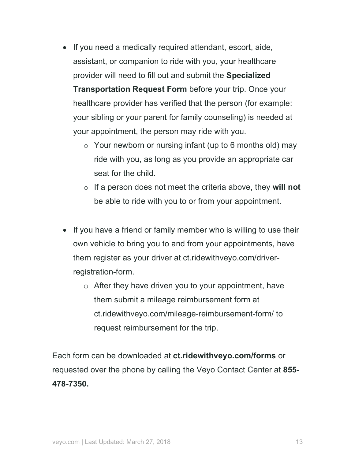- If you need a medically required attendant, escort, aide, assistant, or companion to ride with you, your healthcare provider will need to fill out and submit the **Specialized Transportation Request Form** before your trip. Once your healthcare provider has verified that the person (for example: your sibling or your parent for family counseling) is needed at your appointment, the person may ride with you.
	- $\circ$  Your newborn or nursing infant (up to 6 months old) may ride with you, as long as you provide an appropriate car seat for the child.
	- o If a person does not meet the criteria above, they **will not** be able to ride with you to or from your appointment.
- If you have a friend or family member who is willing to use their own vehicle to bring you to and from your appointments, have them register as your driver at ct.ridewithveyo.com/driverregistration-form.
	- o After they have driven you to your appointment, have them submit a mileage reimbursement form at ct.ridewithveyo.com/mileage-reimbursement-form/ to request reimbursement for the trip.

Each form can be downloaded at **ct.ridewithveyo.com/forms** or requested over the phone by calling the Veyo Contact Center at **855- 478-7350.**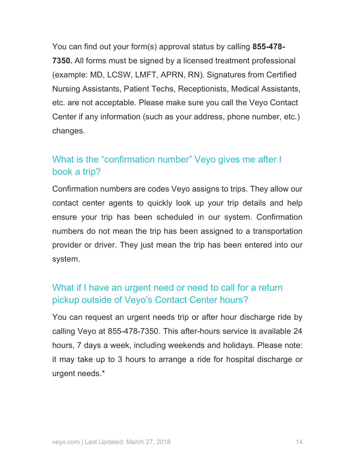You can find out your form(s) approval status by calling **855-478- 7350.** All forms must be signed by a licensed treatment professional (example: MD, LCSW, LMFT, APRN, RN). Signatures from Certified Nursing Assistants, Patient Techs, Receptionists, Medical Assistants, etc. are not acceptable. Please make sure you call the Veyo Contact Center if any information (such as your address, phone number, etc.) changes.

## What is the "confirmation number" Veyo gives me after I book a trip?

Confirmation numbers are codes Veyo assigns to trips. They allow our contact center agents to quickly look up your trip details and help ensure your trip has been scheduled in our system. Confirmation numbers do not mean the trip has been assigned to a transportation provider or driver. They just mean the trip has been entered into our system.

## What if I have an urgent need or need to call for a return pickup outside of Veyo's Contact Center hours?

You can request an urgent needs trip or after hour discharge ride by calling Veyo at 855-478-7350. This after-hours service is available 24 hours, 7 days a week, including weekends and holidays. Please note: it may take up to 3 hours to arrange a ride for hospital discharge or urgent needs.\*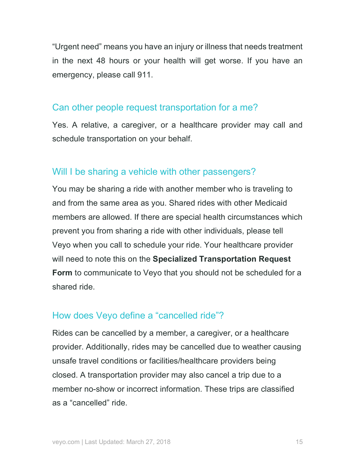"Urgent need" means you have an injury or illness that needs treatment in the next 48 hours or your health will get worse. If you have an emergency, please call 911.

#### Can other people request transportation for a me?

Yes. A relative, a caregiver, or a healthcare provider may call and schedule transportation on your behalf.

#### Will I be sharing a vehicle with other passengers?

You may be sharing a ride with another member who is traveling to and from the same area as you. Shared rides with other Medicaid members are allowed. If there are special health circumstances which prevent you from sharing a ride with other individuals, please tell Veyo when you call to schedule your ride. Your healthcare provider will need to note this on the **Specialized Transportation Request Form** to communicate to Veyo that you should not be scheduled for a shared ride.

#### How does Veyo define a "cancelled ride"?

Rides can be cancelled by a member, a caregiver, or a healthcare provider. Additionally, rides may be cancelled due to weather causing unsafe travel conditions or facilities/healthcare providers being closed. A transportation provider may also cancel a trip due to a member no-show or incorrect information. These trips are classified as a "cancelled" ride.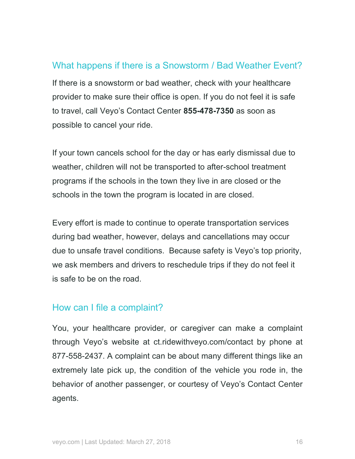#### What happens if there is a Snowstorm / Bad Weather Event?

If there is a snowstorm or bad weather, check with your healthcare provider to make sure their office is open. If you do not feel it is safe to travel, call Veyo's Contact Center **855-478-7350** as soon as possible to cancel your ride.

If your town cancels school for the day or has early dismissal due to weather, children will not be transported to after-school treatment programs if the schools in the town they live in are closed or the schools in the town the program is located in are closed.

Every effort is made to continue to operate transportation services during bad weather, however, delays and cancellations may occur due to unsafe travel conditions. Because safety is Veyo's top priority, we ask members and drivers to reschedule trips if they do not feel it is safe to be on the road.

#### How can I file a complaint?

You, your healthcare provider, or caregiver can make a complaint through Veyo's website at ct.ridewithveyo.com/contact by phone at 877-558-2437. A complaint can be about many different things like an extremely late pick up, the condition of the vehicle you rode in, the behavior of another passenger, or courtesy of Veyo's Contact Center agents.